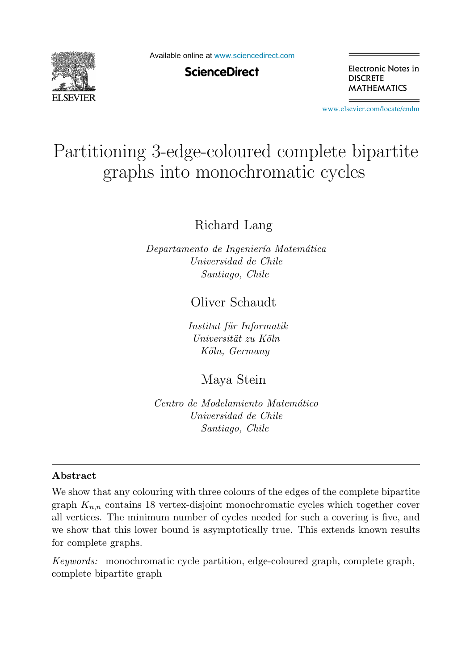

Available online at [www.sciencedirect.com](http://www.sciencedirect.com)

**ScienceDirect** 

Electronic Notes in **DISCRETE MATHEMATICS** 

[www.elsevier.com/locate/endm](http://www.elsevier.com/locate/endm)

# Partitioning 3-edge-coloured complete bipartite graphs into monochromatic cycles

Richard Lang

Departamento de Ingeniería Matemática Universidad de Chile Santiago, Chile

Oliver Schaudt

Institut für Informatik Universität zu Köln Köln, Germany

Maya Stein

Centro de Modelamiento Matemático Universidad de Chile Santiago, Chile

## **Abstract**

We show that any colouring with three colours of the edges of the complete bipartite graph  $K_{n,n}$  contains 18 vertex-disjoint monochromatic cycles which together cover all vertices. The minimum number of cycles needed for such a covering is five, and we show that this lower bound is asymptotically true. This extends known results for complete graphs.

Keywords: monochromatic cycle partition, edge-coloured graph, complete graph, complete bipartite graph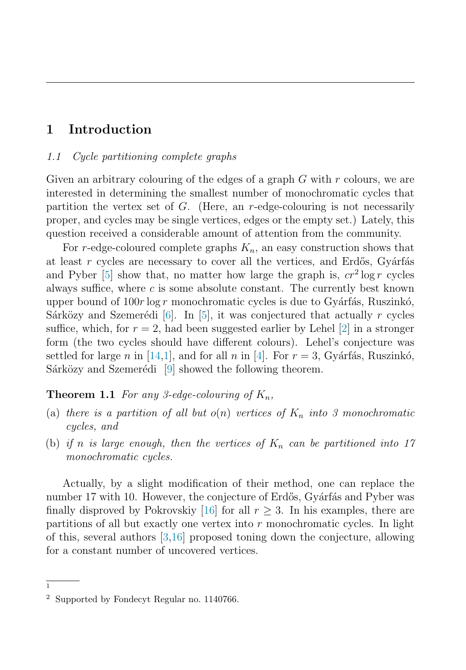# <span id="page-1-0"></span>**1 Introduction**

### 1.1 Cycle partitioning complete graphs

Given an arbitrary colouring of the edges of a graph  $G$  with  $r$  colours, we are interested in determining the smallest number of monochromatic cycles that partition the vertex set of  $G$ . (Here, an r-edge-colouring is not necessarily proper, and cycles may be single vertices, edges or the empty set.) Lately, this question received a considerable amount of attention from the community.

For r-edge-coloured complete graphs  $K_n$ , an easy construction shows that at least  $r$  cycles are necessary to cover all the vertices, and Erdős, Gyárfás and Pyber [\[5\]](#page-6-0) show that, no matter how large the graph is,  $cr^2 \log r$  cycles always suffice, where  $c$  is some absolute constant. The currently best known upper bound of  $100r \log r$  monochromatic cycles is due to Gyárfás, Ruszinkó, Sárközy and Szemerédi [\[6\]](#page-6-0). In [\[5\]](#page-6-0), it was conjectured that actually r cycles suffice, which, for  $r = 2$ , had been suggested earlier by Lehel [\[2\]](#page-6-0) in a stronger form (the two cycles should have different colours). Lehel's conjecture was settled for large n in [\[14,](#page-7-0)[1\]](#page-6-0), and for all n in [\[4\]](#page-6-0). For  $r = 3$ , Gyárfás, Ruszinkó, Sárközy and Szemerédi [\[9\]](#page-6-0) showed the following theorem.

## **Theorem 1.1** For any 3-edge-colouring of  $K_n$ ,

- (a) there is a partition of all but  $o(n)$  vertices of  $K_n$  into 3 monochromatic cycles, and
- (b) if n is large enough, then the vertices of  $K_n$  can be partitioned into 17 monochromatic cycles.

Actually, by a slight modification of their method, one can replace the number 17 with 10. However, the conjecture of Erdős, Gyárfás and Pyber was finally disproved by Pokrovskiy [\[16\]](#page-7-0) for all  $r \geq 3$ . In his examples, there are partitions of all but exactly one vertex into  $r$  monochromatic cycles. In light of this, several authors [\[3,](#page-6-0)[16\]](#page-7-0) proposed toning down the conjecture, allowing for a constant number of uncovered vertices.

 $\overline{1}$ 

<sup>2</sup> Supported by Fondecyt Regular no. 1140766.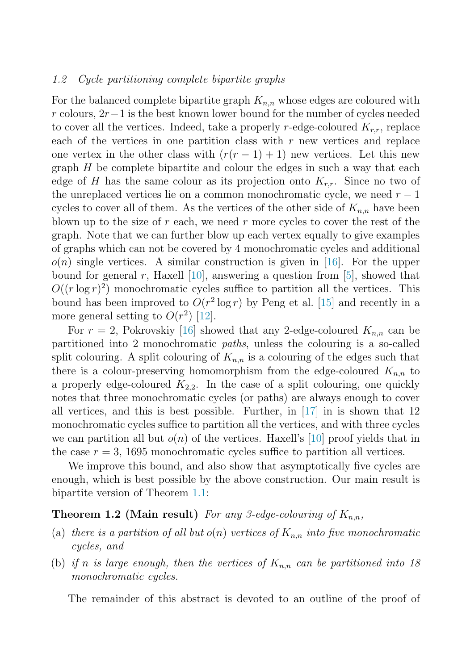#### <span id="page-2-0"></span>1.2 Cycle partitioning complete bipartite graphs

For the balanced complete bipartite graph  $K_{n,n}$  whose edges are coloured with r colours,  $2r-1$  is the best known lower bound for the number of cycles needed to cover all the vertices. Indeed, take a properly r-edge-coloured  $K_{r,r}$ , replace each of the vertices in one partition class with  $r$  new vertices and replace one vertex in the other class with  $(r(r-1)+1)$  new vertices. Let this new graph  $H$  be complete bipartite and colour the edges in such a way that each edge of H has the same colour as its projection onto  $K_{r,r}$ . Since no two of the unreplaced vertices lie on a common monochromatic cycle, we need  $r - 1$ cycles to cover all of them. As the vertices of the other side of  $K_{n,n}$  have been blown up to the size of  $r$  each, we need  $r$  more cycles to cover the rest of the graph. Note that we can further blow up each vertex equally to give examples of graphs which can not be covered by 4 monochromatic cycles and additional  $o(n)$  single vertices. A similar construction is given in [\[16\]](#page-7-0). For the upper bound for general  $r$ , Haxell [\[10\]](#page-7-0), answering a question from [\[5\]](#page-6-0), showed that  $O((r \log r)^2)$  monochromatic cycles suffice to partition all the vertices. This bound has been improved to  $O(r^2 \log r)$  by Peng et al. [\[15\]](#page-7-0) and recently in a more general setting to  $O(r^2)$  [\[12\]](#page-7-0).

For  $r = 2$ , Pokrovskiy [\[16\]](#page-7-0) showed that any 2-edge-coloured  $K_{n,n}$  can be partitioned into 2 monochromatic paths, unless the colouring is a so-called split colouring. A split colouring of  $K_{n,n}$  is a colouring of the edges such that there is a colour-preserving homomorphism from the edge-coloured  $K_{n,n}$  to a properly edge-coloured  $K_{2,2}$ . In the case of a split colouring, one quickly notes that three monochromatic cycles (or paths) are always enough to cover all vertices, and this is best possible. Further, in  $|17|$  in is shown that 12 monochromatic cycles suffice to partition all the vertices, and with three cycles we can partition all but  $o(n)$  of the vertices. Haxell's [\[10\]](#page-7-0) proof yields that in the case  $r = 3$ , 1695 monochromatic cycles suffice to partition all vertices.

We improve this bound, and also show that asymptotically five cycles are enough, which is best possible by the above construction. Our main result is bipartite version of Theorem [1.1:](#page-1-0)

## **Theorem 1.2 (Main result)** For any 3-edge-colouring of  $K_{n,n}$ ,

- (a) there is a partition of all but  $o(n)$  vertices of  $K_{n,n}$  into five monochromatic cycles, and
- (b) if n is large enough, then the vertices of  $K_{n,n}$  can be partitioned into 18 monochromatic cycles.

The remainder of this abstract is devoted to an outline of the proof of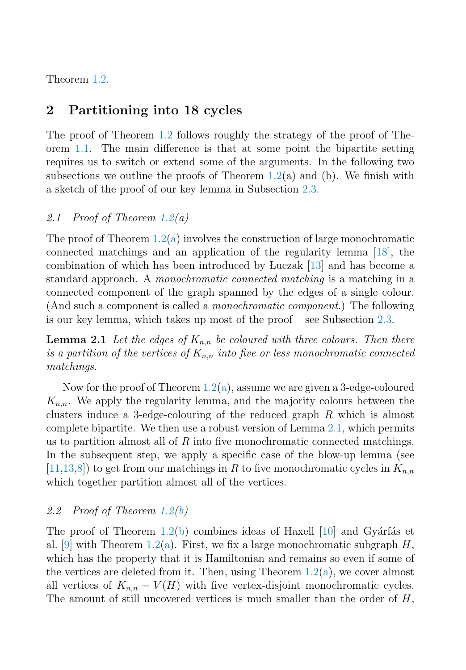<span id="page-3-0"></span>Theorem [1.2.](#page-2-0)

# **2 Partitioning into 18 cycles**

The proof of Theorem [1.2](#page-2-0) follows roughly the strategy of the proof of Theorem [1.1.](#page-1-0) The main difference is that at some point the bipartite setting requires us to switch or extend some of the arguments. In the following two subsections we outline the proofs of Theorem [1.2\(](#page-2-0)a) and (b). We finish with a sketch of the proof of our key lemma in Subsection [2.3.](#page-5-0)

## 2.1 Proof of Theorem  $1.2(a)$  $1.2(a)$

The proof of Theorem  $1.2(a)$  involves the construction of large monochromatic connected matchings and an application of the regularity lemma [\[18\]](#page-7-0), the combination of which has been introduced by Luczak [\[13\]](#page-7-0) and has become a standard approach. A monochromatic connected matching is a matching in a connected component of the graph spanned by the edges of a single colour. (And such a component is called a monochromatic component.) The following is our key lemma, which takes up most of the proof – see Subsection [2.3.](#page-5-0)

**Lemma 2.1** Let the edges of  $K_{n,n}$  be coloured with three colours. Then there is a partition of the vertices of  $K_{n,n}$  into five or less monochromatic connected matchings.

Now for the proof of Theorem  $1.2(a)$ , assume we are given a 3-edge-coloured  $K_{n,n}$ . We apply the regularity lemma, and the majority colours between the clusters induce a 3-edge-colouring of the reduced graph R which is almost complete bipartite. We then use a robust version of Lemma 2.1, which permits us to partition almost all of  $R$  into five monochromatic connected matchings. In the subsequent step, we apply a specific case of the blow-up lemma (see [\[11,13,](#page-7-0)[8\]](#page-6-0)) to get from our matchings in R to five monochromatic cycles in  $K_{n,n}$ which together partition almost all of the vertices.

## 2.2 Proof of Theorem [1.2\(b\)](#page-2-0)

The proof of Theorem [1.2\(b\)](#page-2-0) combines ideas of Haxell  $[10]$  and Gyárfás et al. [\[9\]](#page-6-0) with Theorem [1.2\(a\)](#page-2-0). First, we fix a large monochromatic subgraph  $H$ , which has the property that it is Hamiltonian and remains so even if some of the vertices are deleted from it. Then, using Theorem  $1.2(a)$ , we cover almost all vertices of  $K_{n,n} - V(H)$  with five vertex-disjoint monochromatic cycles. The amount of still uncovered vertices is much smaller than the order of  $H$ ,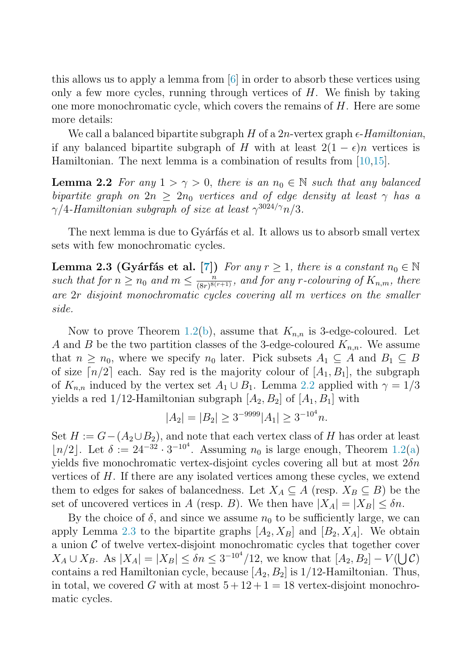this allows us to apply a lemma from [\[6\]](#page-6-0) in order to absorb these vertices using only a few more cycles, running through vertices of  $H$ . We finish by taking one more monochromatic cycle, which covers the remains of  $H$ . Here are some more details:

We call a balanced bipartite subgraph  $H$  of a  $2n$ -vertex graph  $\epsilon$ - $Hamiltonian$ , if any balanced bipartite subgraph of H with at least  $2(1 - \epsilon)n$  vertices is Hamiltonian. The next lemma is a combination of results from [\[10,15\]](#page-7-0).

**Lemma 2.2** For any  $1 > \gamma > 0$ , there is an  $n_0 \in \mathbb{N}$  such that any balanced bipartite graph on  $2n \geq 2n_0$  vertices and of edge density at least  $\gamma$  has a  $\gamma/4$ -Hamiltonian subgraph of size at least  $\gamma^{3024/\gamma}n/3$ .

The next lemma is due to Gyárfás et al. It allows us to absorb small vertex sets with few monochromatic cycles.

**Lemma 2.3 (Gyárfás et al. [\[7\]](#page-6-0))** For any  $r \geq 1$ , there is a constant  $n_0 \in \mathbb{N}$ such that for  $n \geq n_0$  and  $m \leq \frac{n}{(8r)^{8(r+1)}}$ , and for any r-colouring of  $K_{n,m}$ , there are 2r disjoint monochromatic cycles covering all m vertices on the smaller side.

Now to prove Theorem [1.2\(b\)](#page-2-0), assume that  $K_{n,n}$  is 3-edge-coloured. Let A and B be the two partition classes of the 3-edge-coloured  $K_{n,n}$ . We assume that  $n \geq n_0$ , where we specify  $n_0$  later. Pick subsets  $A_1 \subseteq A$  and  $B_1 \subseteq B$ of size  $\lceil n/2 \rceil$  each. Say red is the majority colour of  $[A_1, B_1]$ , the subgraph of  $K_{n,n}$  induced by the vertex set  $A_1 \cup B_1$ . Lemma 2.2 applied with  $\gamma = 1/3$ yields a red  $1/12$ -Hamiltonian subgraph  $[A_2, B_2]$  of  $[A_1, B_1]$  with

$$
|A_2| = |B_2| \ge 3^{-9999} |A_1| \ge 3^{-10^4} n.
$$

Set  $H := G-(A_2\cup B_2)$ , and note that each vertex class of H has order at least [ $n/2$ ]. Let  $\delta := 24^{-32} \cdot 3^{-10^4}$ . Assuming  $n_0$  is large enough, Theorem [1.2\(a\)](#page-2-0) yields five monochromatic vertex-disjoint cycles covering all but at most  $2\delta n$ vertices of  $H$ . If there are any isolated vertices among these cycles, we extend them to edges for sakes of balancedness. Let  $X_A \subseteq A$  (resp.  $X_B \subseteq B$ ) be the set of uncovered vertices in A (resp. B). We then have  $|X_A| = |X_B| \leq \delta n$ .

By the choice of  $\delta$ , and since we assume  $n_0$  to be sufficiently large, we can apply Lemma 2.3 to the bipartite graphs  $[A_2, X_B]$  and  $[B_2, X_A]$ . We obtain a union  $\mathcal C$  of twelve vertex-disjoint monochromatic cycles that together cover  $X_A \cup X_B$ . As  $|X_A| = |X_B| \le \delta n \le 3^{-10^4} / 12$ , we know that  $[A_2, B_2] - V(\bigcup \mathcal{C})$ contains a red Hamiltonian cycle, because  $[A_2, B_2]$  is 1/12-Hamiltonian. Thus, in total, we covered G with at most  $5+12+1=18$  vertex-disjoint monochromatic cycles.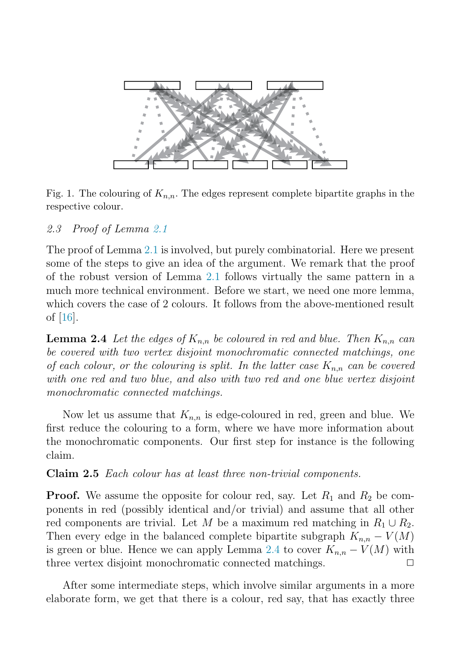<span id="page-5-0"></span>

Fig. 1. The colouring of  $K_{n,n}$ . The edges represent complete bipartite graphs in the respective colour.

2.3 Proof of Lemma [2.1](#page-3-0)

The proof of Lemma [2.1](#page-3-0) is involved, but purely combinatorial. Here we present some of the steps to give an idea of the argument. We remark that the proof of the robust version of Lemma [2.1](#page-3-0) follows virtually the same pattern in a much more technical environment. Before we start, we need one more lemma, which covers the case of 2 colours. It follows from the above-mentioned result of [\[16\]](#page-7-0).

**Lemma 2.4** Let the edges of  $K_{n,n}$  be coloured in red and blue. Then  $K_{n,n}$  can be covered with two vertex disjoint monochromatic connected matchings, one of each colour, or the colouring is split. In the latter case  $K_{n,n}$  can be covered with one red and two blue, and also with two red and one blue vertex disjoint monochromatic connected matchings.

Now let us assume that  $K_{n,n}$  is edge-coloured in red, green and blue. We first reduce the colouring to a form, where we have more information about the monochromatic components. Our first step for instance is the following claim.

**Claim 2.5** Each colour has at least three non-trivial components.

**Proof.** We assume the opposite for colour red, say. Let  $R_1$  and  $R_2$  be components in red (possibly identical and/or trivial) and assume that all other red components are trivial. Let M be a maximum red matching in  $R_1 \cup R_2$ . Then every edge in the balanced complete bipartite subgraph  $K_{n,n} - V(M)$ is green or blue. Hence we can apply Lemma 2.4 to cover  $K_{n,n} - V(M)$  with three vertex disjoint monochromatic connected matchings. three vertex disjoint monochromatic connected matchings.

After some intermediate steps, which involve similar arguments in a more elaborate form, we get that there is a colour, red say, that has exactly three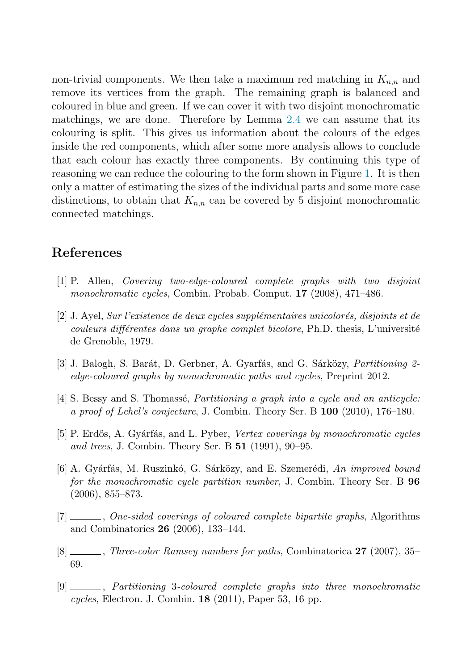<span id="page-6-0"></span>non-trivial components. We then take a maximum red matching in  $K_{n,n}$  and remove its vertices from the graph. The remaining graph is balanced and coloured in blue and green. If we can cover it with two disjoint monochromatic matchings, we are done. Therefore by Lemma [2.4](#page-5-0) we can assume that its colouring is split. This gives us information about the colours of the edges inside the red components, which after some more analysis allows to conclude that each colour has exactly three components. By continuing this type of reasoning we can reduce the colouring to the form shown in Figure [1.](#page-5-0) It is then only a matter of estimating the sizes of the individual parts and some more case distinctions, to obtain that  $K_{n,n}$  can be covered by 5 disjoint monochromatic connected matchings.

# **References**

- [1] P. Allen, Covering two-edge-coloured complete graphs with two disjoint monochromatic cycles, Combin. Probab. Comput. **17** (2008), 471–486.
- $[2]$  J. Ayel, Sur l'existence de deux cycles supplémentaires unicolorés, disjoints et de  $couleurs\ différentes\ dans\ un\ graphe\ complete\ bicolore, Ph.D. \ thesis, L'université$ de Grenoble, 1979.
- [3] J. Balogh, S. Barát, D. Gerbner, A. Gyarfás, and G. Sárközy, *Partitioning 2*edge-coloured graphs by monochromatic paths and cycles, Preprint 2012.
- $[4]$  S. Bessy and S. Thomassé, *Partitioning a graph into a cycle and an anticycle:* a proof of Lehel's conjecture, J. Combin. Theory Ser. B **100** (2010), 176–180.
- [5] P. Erdős, A. Gyárfás, and L. Pyber, Vertex coverings by monochromatic cycles and trees, J. Combin. Theory Ser. B **51** (1991), 90–95.
- [6] A. Gyárfás, M. Ruszinkó, G. Sárközy, and E. Szemerédi, An improved bound for the monochromatic cycle partition number, J. Combin. Theory Ser. B **96** (2006), 855–873.
- [7]  $\ldots$ , One-sided coverings of coloured complete bipartite graphs, Algorithms and Combinatorics **26** (2006), 133–144.
- [8] , Three-color Ramsey numbers for paths, Combinatorica **27** (2007), 35– 69.
- [9] , Partitioning 3-coloured complete graphs into three monochromatic cycles, Electron. J. Combin. **18** (2011), Paper 53, 16 pp.